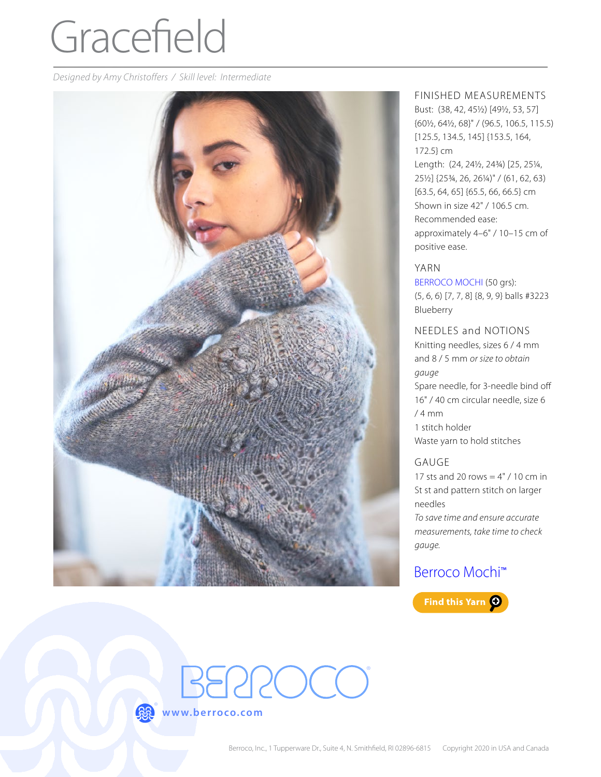# Gracefield

*Designed by Amy Christoffers / Skill level: Intermediate*



#### FINISHED MEASUREMENTS

Bust: (38, 42, 45½) [49½, 53, 57] {60½, 64½, 68}" / (96.5, 106.5, 115.5) [125.5, 134.5, 145] {153.5, 164, 172.5} cm Length: (24, 24½, 24¾) [25, 25¼, 25½] {25¾, 26, 26¼)" / (61, 62, 63) [63.5, 64, 65] {65.5, 66, 66.5} cm Shown in size 42" / 106.5 cm. Recommended ease: approximately 4–6" / 10–15 cm of positive ease.

#### YARN

[BERROCO MOCHI](https://www.berroco.com/yarns/berroco-mochi) (50 grs): (5, 6, 6) [7, 7, 8] {8, 9, 9} balls #3223

Blueberry

#### NEEDLES and NOTIONS

Knitting needles, sizes 6 / 4 mm and 8 / 5 mm *or size to obtain gauge* Spare needle, for 3-needle bind off 16" / 40 cm circular needle, size 6 / 4 mm 1 stitch holder Waste yarn to hold stitches

# GAUGE

17 sts and 20 rows  $= 4" / 10$  cm in St st and pattern stitch on larger needles

*To save time and ensure accurate measurements, take time to check gauge.*

# [Berroco Mochi](https://www.berroco.com/yarns/berroco-mochi)™



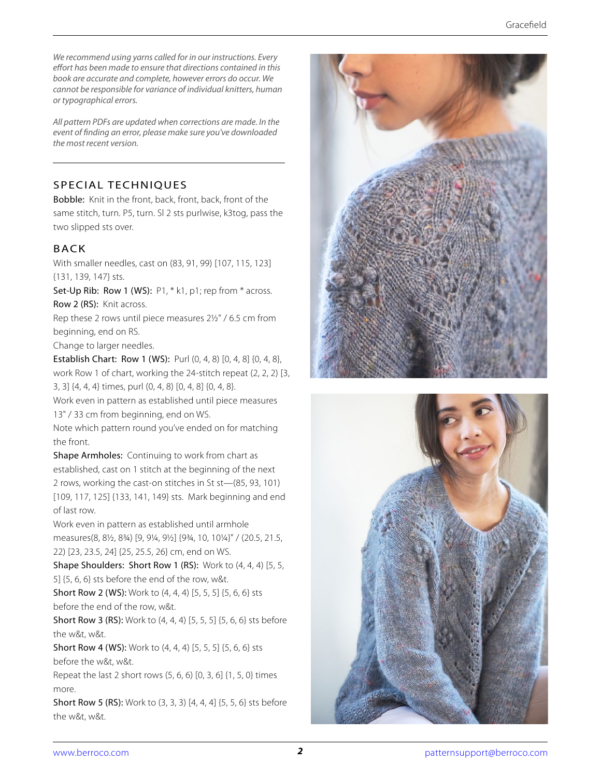*We recommend using yarns called for in our instructions. Every effort has been made to ensure that directions contained in this book are accurate and complete, however errors do occur. We cannot be responsible for variance of individual knitters, human or typographical errors.*

*All pattern PDFs are updated when corrections are made. In the event of finding an error, please make sure you've downloaded the most recent version.*

#### SPECIAL TECHNIQUES

Bobble: Knit in the front, back, front, back, front of the same stitch, turn. P5, turn. Sl 2 sts purlwise, k3tog, pass the two slipped sts over.

# BACK

With smaller needles, cast on (83, 91, 99) [107, 115, 123] {131, 139, 147} sts.

Set-Up Rib: Row 1 (WS): P1, \* k1, p1; rep from \* across. Row 2 (RS): Knit across.

Rep these 2 rows until piece measures 2½" / 6.5 cm from beginning, end on RS.

Change to larger needles.

Establish Chart: Row 1 (WS): Purl (0, 4, 8) [0, 4, 8] {0, 4, 8}, work Row 1 of chart, working the 24-stitch repeat (2, 2, 2) [3, 3, 3] {4, 4, 4} times, purl (0, 4, 8) [0, 4, 8] {0, 4, 8}.

Work even in pattern as established until piece measures 13" / 33 cm from beginning, end on WS.

Note which pattern round you've ended on for matching the front.

Shape Armholes: Continuing to work from chart as established, cast on 1 stitch at the beginning of the next 2 rows, working the cast-on stitches in St st—(85, 93, 101) [109, 117, 125] {133, 141, 149} sts. Mark beginning and end of last row.

Work even in pattern as established until armhole measures(8, 8½, 8¾) [9, 9¼, 9½] {9¾, 10, 10¼}" / (20.5, 21.5, 22) [23, 23.5, 24] {25, 25.5, 26} cm, end on WS.

Shape Shoulders: Short Row 1 (RS): Work to (4, 4, 4) [5, 5, 5] {5, 6, 6} sts before the end of the row, w&t.

Short Row 2 (WS): Work to (4, 4, 4) [5, 5, 5] {5, 6, 6} sts before the end of the row, w&t.

Short Row 3 (RS): Work to (4, 4, 4) [5, 5, 5] {5, 6, 6} sts before the w&t, w&t.

Short Row 4 (WS): Work to (4, 4, 4) [5, 5, 5] {5, 6, 6} sts before the w&t, w&t.

Repeat the last 2 short rows (5, 6, 6) [0, 3, 6] {1, 5, 0} times more.

Short Row 5 (RS): Work to (3, 3, 3) [4, 4, 4] {5, 5, 6} sts before the w&t, w&t.



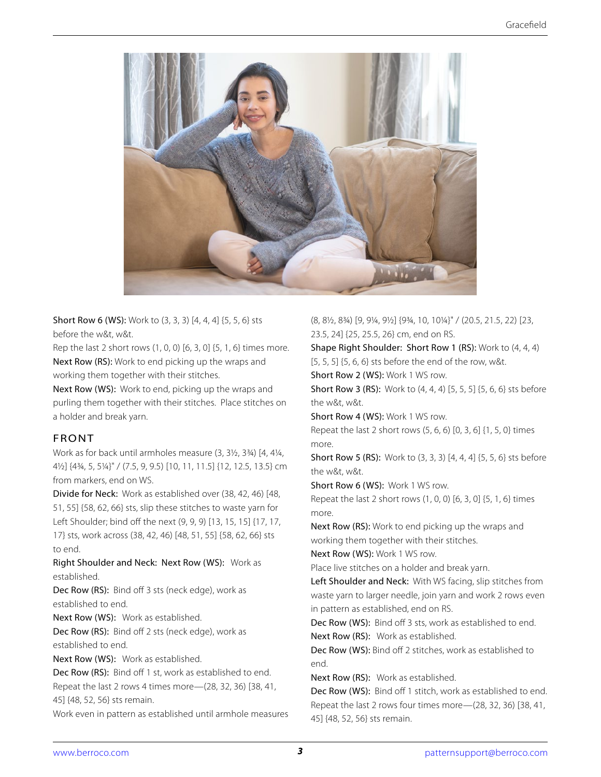

Short Row 6 (WS): Work to (3, 3, 3) [4, 4, 4] {5, 5, 6} sts before the w&t, w&t.

Rep the last 2 short rows (1, 0, 0) [6, 3, 0] {5, 1, 6} times more. Next Row (RS): Work to end picking up the wraps and working them together with their stitches.

Next Row (WS): Work to end, picking up the wraps and purling them together with their stitches. Place stitches on a holder and break yarn.

#### FRONT

Work as for back until armholes measure (3, 3½, 3¾) [4, 4¼, 4½] {4¾, 5, 5¼}" / (7.5, 9, 9.5) [10, 11, 11.5] {12, 12.5, 13.5} cm from markers, end on WS.

Divide for Neck: Work as established over (38, 42, 46) [48, 51, 55] {58, 62, 66} sts, slip these stitches to waste yarn for Left Shoulder; bind off the next (9, 9, 9) [13, 15, 15] {17, 17, 17} sts, work across (38, 42, 46) [48, 51, 55] {58, 62, 66} sts to end.

Right Shoulder and Neck: Next Row (WS): Work as established.

Dec Row (RS): Bind off 3 sts (neck edge), work as established to end.

Next Row (WS): Work as established.

Dec Row (RS): Bind off 2 sts (neck edge), work as established to end.

Next Row (WS): Work as established.

Dec Row (RS): Bind off 1 st, work as established to end. Repeat the last 2 rows 4 times more—(28, 32, 36) [38, 41, 45] {48, 52, 56} sts remain.

Work even in pattern as established until armhole measures

(8, 8½, 8¾) [9, 9¼, 9½] {9¾, 10, 10¼}" / (20.5, 21.5, 22) [23, 23.5, 24] {25, 25.5, 26} cm, end on RS.

Shape Right Shoulder: Short Row 1 (RS): Work to (4, 4, 4) [5, 5, 5] {5, 6, 6} sts before the end of the row, w&t.

Short Row 2 (WS): Work 1 WS row.

Short Row 3 (RS): Work to (4, 4, 4) [5, 5, 5] {5, 6, 6} sts before the w&t, w&t.

Short Row 4 (WS): Work 1 WS row.

Repeat the last 2 short rows (5, 6, 6) [0, 3, 6] {1, 5, 0} times more.

Short Row 5 (RS): Work to (3, 3, 3) [4, 4, 4] {5, 5, 6} sts before the w&t, w&t.

Short Row 6 (WS): Work 1 WS row.

Repeat the last 2 short rows (1, 0, 0) [6, 3, 0] {5, 1, 6} times more.

Next Row (RS): Work to end picking up the wraps and working them together with their stitches.

Next Row (WS): Work 1 WS row.

Place live stitches on a holder and break yarn.

Left Shoulder and Neck: With WS facing, slip stitches from waste yarn to larger needle, join yarn and work 2 rows even in pattern as established, end on RS.

Dec Row (WS): Bind off 3 sts, work as established to end. Next Row (RS): Work as established.

Dec Row (WS): Bind off 2 stitches, work as established to end.

Next Row (RS): Work as established.

Dec Row (WS): Bind off 1 stitch, work as established to end. Repeat the last 2 rows four times more—(28, 32, 36) [38, 41, 45] {48, 52, 56} sts remain.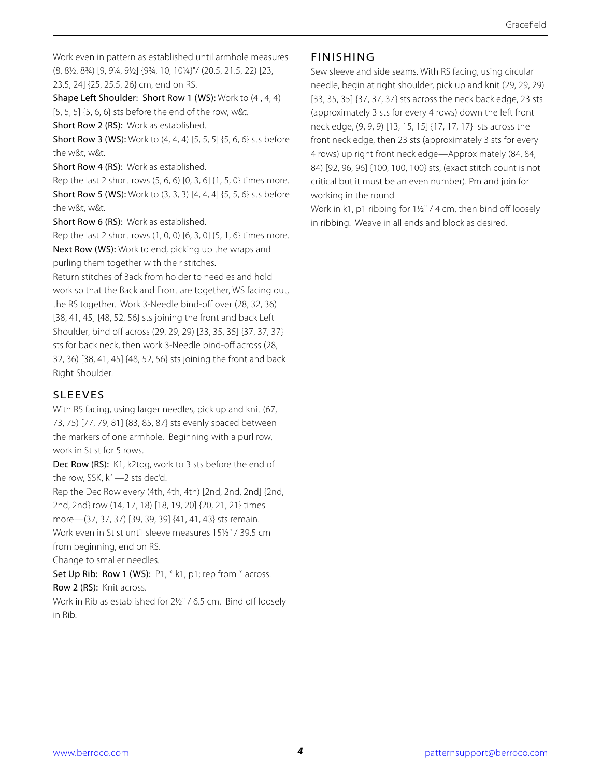Work even in pattern as established until armhole measures (8, 8½, 8¾) [9, 9¼, 9½] {9¾, 10, 10¼}"/ (20.5, 21.5, 22) [23, 23.5, 24] {25, 25.5, 26} cm, end on RS.

Shape Left Shoulder: Short Row 1 (WS): Work to (4 , 4, 4) [5, 5, 5] {5, 6, 6} sts before the end of the row, w&t.

Short Row 2 (RS): Work as established.

Short Row 3 (WS): Work to (4, 4, 4) [5, 5, 5] {5, 6, 6} sts before the w&t, w&t.

Short Row 4 (RS): Work as established.

Rep the last 2 short rows (5, 6, 6) [0, 3, 6] {1, 5, 0} times more. Short Row 5 (WS): Work to (3, 3, 3) [4, 4, 4] {5, 5, 6} sts before the w&t, w&t.

Short Row 6 (RS): Work as established.

Rep the last 2 short rows (1, 0, 0) [6, 3, 0] {5, 1, 6} times more. Next Row (WS): Work to end, picking up the wraps and

purling them together with their stitches. Return stitches of Back from holder to needles and hold work so that the Back and Front are together, WS facing out, the RS together. Work 3-Needle bind-off over (28, 32, 36) [38, 41, 45] {48, 52, 56} sts joining the front and back Left Shoulder, bind off across (29, 29, 29) [33, 35, 35] {37, 37, 37} sts for back neck, then work 3-Needle bind-off across (28, 32, 36) [38, 41, 45] {48, 52, 56} sts joining the front and back Right Shoulder.

# SLEEVES

With RS facing, using larger needles, pick up and knit (67, 73, 75) [77, 79, 81] {83, 85, 87} sts evenly spaced between the markers of one armhole. Beginning with a purl row, work in St st for 5 rows.

Dec Row (RS): K1, k2tog, work to 3 sts before the end of the row, SSK, k1—2 sts dec'd.

Rep the Dec Row every (4th, 4th, 4th) [2nd, 2nd, 2nd] {2nd, 2nd, 2nd} row (14, 17, 18) [18, 19, 20] {20, 21, 21} times more—(37, 37, 37) [39, 39, 39] {41, 41, 43} sts remain. Work even in St st until sleeve measures 15½" / 39.5 cm from beginning, end on RS.

Change to smaller needles.

Set Up Rib: Row 1 (WS): P1, \* k1, p1; rep from \* across. Row 2 (RS): Knit across.

Work in Rib as established for 2½" / 6.5 cm. Bind off loosely in Rib.

# FINISHING

Sew sleeve and side seams. With RS facing, using circular needle, begin at right shoulder, pick up and knit (29, 29, 29) [33, 35, 35] {37, 37, 37} sts across the neck back edge, 23 sts (approximately 3 sts for every 4 rows) down the left front neck edge, (9, 9, 9) [13, 15, 15] {17, 17, 17} sts across the front neck edge, then 23 sts (approximately 3 sts for every 4 rows) up right front neck edge—Approximately (84, 84, 84) [92, 96, 96] {100, 100, 100} sts, (exact stitch count is not critical but it must be an even number). Pm and join for working in the round

Work in k1, p1 ribbing for 1½" / 4 cm, then bind off loosely in ribbing. Weave in all ends and block as desired.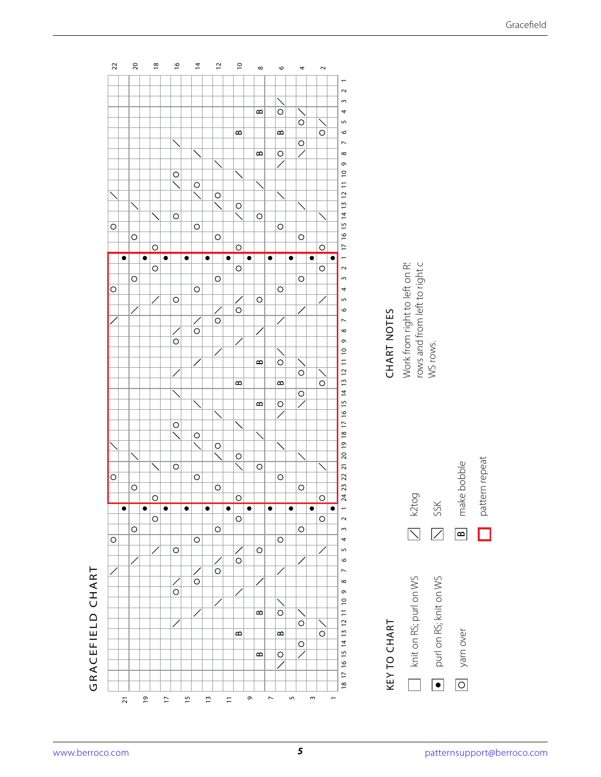

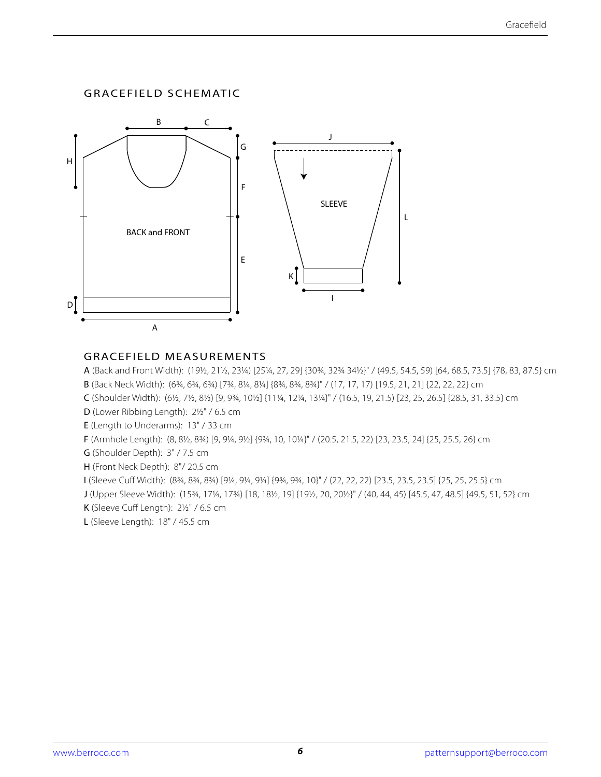#### GRACEFIELD SCHEMATIC



#### GRACEFIELD MEASUREMENTS

A (Back and Front Width): (19½, 21½, 23¼) [25¼, 27, 29] {30¾, 32¾ 34½}" / (49.5, 54.5, 59) [64, 68.5, 73.5] {78, 83, 87.5} cm B (Back Neck Width): (6¾, 6¾, 6¾) [7¾, 8¼, 8¼] {8¾, 8¾, 8¾}" / (17, 17, 17) [19.5, 21, 21] {22, 22, 22} cm

C (Shoulder Width): (6½, 7½, 8½) [9, 9¾, 10½] {11¼, 12¼, 13¼}" / (16.5, 19, 21.5) [23, 25, 26.5] {28.5, 31, 33.5} cm

D (Lower Ribbing Length): 2½" / 6.5 cm

E (Length to Underarms): 13" / 33 cm

F (Armhole Length): (8, 8½, 8¾) [9, 9¼, 9½] {9¾, 10, 10¼}" / (20.5, 21.5, 22) [23, 23.5, 24] {25, 25.5, 26} cm

G (Shoulder Depth): 3" / 7.5 cm

H (Front Neck Depth): 8"/ 20.5 cm

I (Sleeve Cuff Width): (8¾, 8¾, 8¾) [9¼, 9¼, 9¼] {9¾, 9¾, 10}" / (22, 22, 22) [23.5, 23.5, 23.5] {25, 25, 25.5} cm

J (Upper Sleeve Width): (15¾, 17¼, 17¾) [18, 18½, 19] {19½, 20, 20½}" / (40, 44, 45) [45.5, 47, 48.5] {49.5, 51, 52} cm

K (Sleeve Cuff Length): 2½" / 6.5 cm

L (Sleeve Length): 18" / 45.5 cm